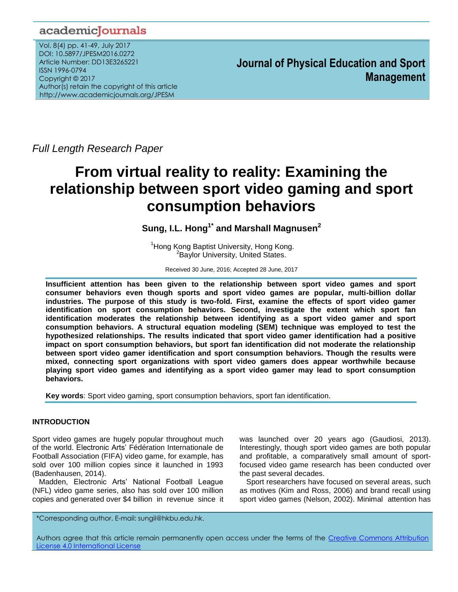# academicJournals

Vol. 8(4) pp. 41-49, July 2017 DOI: 10.5897/JPESM2016.0272 Article Number: DD13E3265221 ISSN 1996-0794 Copyright © 2017 Author(s) retain the copyright of this article http://www.academicjournals.org/JPESM

**Journal of Physical Education and Sport Management**

*Full Length Research Paper*

# **From virtual reality to reality: Examining the relationship between sport video gaming and sport consumption behaviors**

# **Sung, I.L. Hong1\* and Marshall Magnusen<sup>2</sup>**

<sup>1</sup>Hong Kong Baptist University, Hong Kong. <sup>2</sup> Baylor University, United States.

Received 30 June, 2016; Accepted 28 June, 2017

**Insufficient attention has been given to the relationship between sport video games and sport consumer behaviors even though sports and sport video games are popular, multi-billion dollar industries. The purpose of this study is two-fold. First, examine the effects of sport video gamer identification on sport consumption behaviors. Second, investigate the extent which sport fan identification moderates the relationship between identifying as a sport video gamer and sport consumption behaviors. A structural equation modeling (SEM) technique was employed to test the hypothesized relationships. The results indicated that sport video gamer identification had a positive impact on sport consumption behaviors, but sport fan identification did not moderate the relationship between sport video gamer identification and sport consumption behaviors. Though the results were mixed, connecting sport organizations with sport video gamers does appear worthwhile because playing sport video games and identifying as a sport video gamer may lead to sport consumption behaviors.**

**Key words**: Sport video gaming, sport consumption behaviors, sport fan identification.

# **INTRODUCTION**

Sport video games are hugely popular throughout much of the world. Electronic Arts' Fédération Internationale de Football Association (FIFA) video game, for example, has sold over 100 million copies since it launched in 1993 (Badenhausen, 2014).

Madden, Electronic Arts' National Football League (NFL) video game series, also has sold over 100 million copies and generated over \$4 billion in revenue since it was launched over 20 years ago (Gaudiosi, 2013). Interestingly, though sport video games are both popular and profitable, a comparatively small amount of sportfocused video game research has been conducted over the past several decades.

Sport researchers have focused on several areas, such as motives (Kim and Ross, 2006) and brand recall using sport video games (Nelson, 2002). Minimal attention has

\*Corresponding author. E-mail: sungil@hkbu.edu.hk.

Authors agree that this article remain permanently open access under the terms of the Creative Commons Attribution [License 4.0 International License](file://192.168.1.24/reading/Arts%20and%20Education/ERR/2014/sept/read/Correction%20Pdf%201/ERR-17.04.14-1816/Publication/Creative%20Co)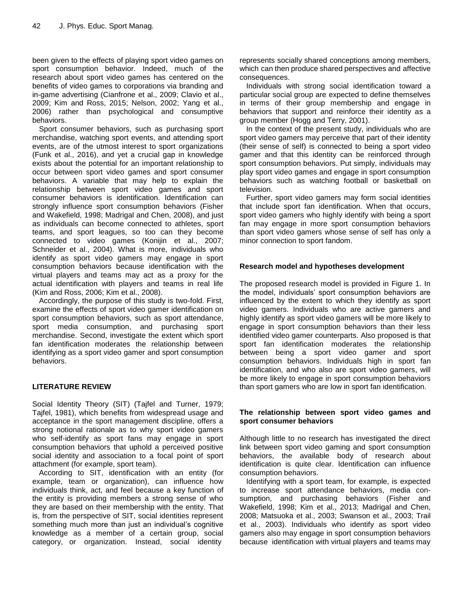been given to the effects of playing sport video games on sport consumption behavior. Indeed, much of the research about sport video games has centered on the benefits of video games to corporations via branding and in-game advertising (Cianfrone et al., 2009; Clavio et al., 2009; Kim and Ross, 2015; Nelson, 2002; Yang et al., 2006) rather than psychological and consumptive behaviors.

Sport consumer behaviors, such as purchasing sport merchandise, watching sport events, and attending sport events, are of the utmost interest to sport organizations (Funk et al., 2016), and yet a crucial gap in knowledge exists about the potential for an important relationship to occur between sport video games and sport consumer behaviors. A variable that may help to explain the relationship between sport video games and sport consumer behaviors is identification. Identification can strongly influence sport consumption behaviors (Fisher and Wakefield, 1998; Madrigal and Chen, 2008), and just as individuals can become connected to athletes, sport teams, and sport leagues, so too can they become connected to video games (Konijin et al., 2007; Schneider et al., 2004). What is more, individuals who identify as sport video gamers may engage in sport consumption behaviors because identification with the virtual players and teams may act as a proxy for the actual identification with players and teams in real life (Kim and Ross, 2006; Kim et al., 2008).

Accordingly, the purpose of this study is two-fold. First, examine the effects of sport video gamer identification on sport consumption behaviors, such as sport attendance, sport media consumption, and purchasing sport merchandise. Second, investigate the extent which sport fan identification moderates the relationship between identifying as a sport video gamer and sport consumption behaviors.

# **LITERATURE REVIEW**

Social Identity Theory (SIT) (Tajfel and Turner, 1979; Tajfel, 1981), which benefits from widespread usage and acceptance in the sport management discipline, offers a strong notional rationale as to why sport video gamers who self-identify as sport fans may engage in sport consumption behaviors that uphold a perceived positive social identity and association to a focal point of sport attachment (for example, sport team).

According to SIT, identification with an entity (for example, team or organization), can influence how individuals think, act, and feel because a key function of the entity is providing members a strong sense of who they are based on their membership with the entity. That is, from the perspective of SIT, social identities represent something much more than just an individual's cognitive knowledge as a member of a certain group, social category, or organization. Instead, social identity

represents socially shared conceptions among members, which can then produce shared perspectives and affective consequences.

Individuals with strong social identification toward a particular social group are expected to define themselves in terms of their group membership and engage in behaviors that support and reinforce their identity as a group member (Hogg and Terry, 2001).

In the context of the present study, individuals who are sport video gamers may perceive that part of their identity (their sense of self) is connected to being a sport video gamer and that this identity can be reinforced through sport consumption behaviors. Put simply, individuals may play sport video games and engage in sport consumption behaviors such as watching football or basketball on television.

Further, sport video gamers may form social identities that include sport fan identification. When that occurs, sport video gamers who highly identify with being a sport fan may engage in more sport consumption behaviors than sport video gamers whose sense of self has only a minor connection to sport fandom.

# **Research model and hypotheses development**

The proposed research model is provided in Figure 1. In the model, individuals' sport consumption behaviors are influenced by the extent to which they identify as sport video gamers. Individuals who are active gamers and highly identify as sport video gamers will be more likely to engage in sport consumption behaviors than their less identified video gamer counterparts. Also proposed is that sport fan identification moderates the relationship between being a sport video gamer and sport consumption behaviors. Individuals high in sport fan identification, and who also are sport video gamers, will be more likely to engage in sport consumption behaviors than sport gamers who are low in sport fan identification.

## **The relationship between sport video games and sport consumer behaviors**

Although little to no research has investigated the direct link between sport video gaming and sport consumption behaviors, the available body of research about identification is quite clear. Identification can influence consumption behaviors.

Identifying with a sport team, for example, is expected to increase sport attendance behaviors, media consumption, and purchasing behaviors (Fisher and Wakefield, 1998; Kim et al., 2013; Madrigal and Chen, 2008; Matsuoka et al., 2003; Swanson et al., 2003; Trail et al., 2003). Individuals who identify as sport video gamers also may engage in sport consumption behaviors because identification with virtual players and teams may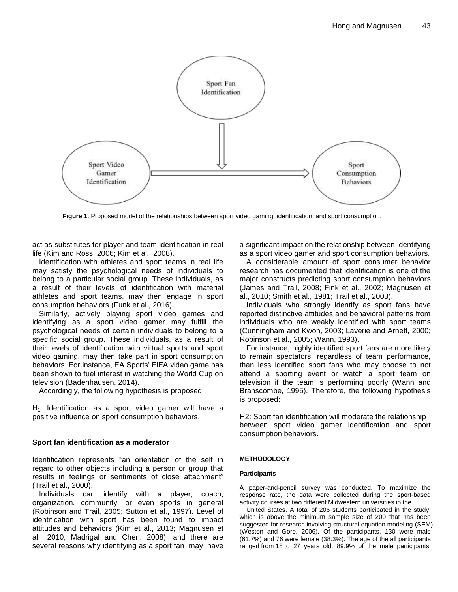

**Figure 1.** Proposed model of the relationships between sport video gaming, identification, and sport consumption.

act as substitutes for player and team identification in real life (Kim and Ross, 2006; Kim et al., 2008).

Identification with athletes and sport teams in real life may satisfy the psychological needs of individuals to belong to a particular social group. These individuals, as a result of their levels of identification with material athletes and sport teams, may then engage in sport consumption behaviors (Funk et al., 2016).

Similarly, actively playing sport video games and identifying as a sport video gamer may fulfill the psychological needs of certain individuals to belong to a specific social group. These individuals, as a result of their levels of identification with virtual sports and sport video gaming, may then take part in sport consumption behaviors. For instance, EA Sports' FIFA video game has been shown to fuel interest in watching the World Cup on television (Badenhausen, 2014).

Accordingly, the following hypothesis is proposed:

 $H_1$ : Identification as a sport video gamer will have a positive influence on sport consumption behaviors.

#### **Sport fan identification as a moderator**

Identification represents "an orientation of the self in regard to other objects including a person or group that results in feelings or sentiments of close attachment" (Trail et al., 2000).

Individuals can identify with a player, coach, organization, community, or even sports in general (Robinson and Trail, 2005; Sutton et al., 1997). Level of identification with sport has been found to impact attitudes and behaviors (Kim et al., 2013; Magnusen et al., 2010; Madrigal and Chen, 2008), and there are several reasons why identifying as a sport fan may have

a significant impact on the relationship between identifying as a sport video gamer and sport consumption behaviors.

A considerable amount of sport consumer behavior research has documented that identification is one of the major constructs predicting sport consumption behaviors (James and Trail, 2008; Fink et al., 2002; Magnusen et al., 2010; Smith et al., 1981; Trail et al., 2003).

Individuals who strongly identify as sport fans have reported distinctive attitudes and behavioral patterns from individuals who are weakly identified with sport teams (Cunningham and Kwon, 2003; Laverie and Arnett, 2000; Robinson et al., 2005; Wann, 1993).

For instance, highly identified sport fans are more likely to remain spectators, regardless of team performance, than less identified sport fans who may choose to not attend a sporting event or watch a sport team on television if the team is performing poorly (Wann and Branscombe, 1995). Therefore, the following hypothesis is proposed:

H2: Sport fan identification will moderate the relationship between sport video gamer identification and sport consumption behaviors.

#### **METHODOLOGY**

#### **Participants**

A paper-and-pencil survey was conducted. To maximize the response rate, the data were collected during the sport-based activity courses at two different Midwestern universities in the

United States. A total of 206 students participated in the study, which is above the minimum sample size of 200 that has been suggested for research involving structural equation modeling (SEM) (Weston and Gore, 2006). Of the participants, 130 were male (61.7%) and 76 were female (38.3%). The age of the all participants ranged from 18 to 27 years old. 89.9% of the male participants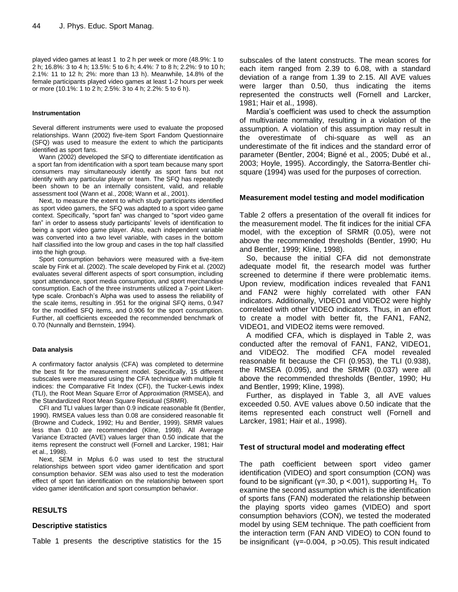played video games at least 1 to 2 h per week or more (48.9%: 1 to 2 h; 16.8%: 3 to 4 h; 13.5%: 5 to 6 h; 4.4%: 7 to 8 h; 2.2%: 9 to 10 h; 2.1%: 11 to 12 h; 2%: more than 13 h). Meanwhile, 14.8% of the female participants played video games at least 1-2 hours per week or more (10.1%: 1 to 2 h; 2.5%: 3 to 4 h; 2.2%: 5 to 6 h).

#### **Instrumentation**

Several different instruments were used to evaluate the proposed relationships. Wann (2002) five-item Sport Fandom Questionnaire (SFQ) was used to measure the extent to which the participants identified as sport fans.

Wann (2002) developed the SFQ to differentiate identification as a sport fan from identification with a sport team because many sport consumers may simultaneously identify as sport fans but not identify with any particular player or team. The SFQ has repeatedly been shown to be an internally consistent, valid, and reliable assessment tool (Wann et al., 2008; Wann et al., 2001).

Next, to measure the extent to which study participants identified as sport video gamers, the SFQ was adapted to a sport video game context. Specifically, "sport fan" was changed to "sport video game fan" in order to assess study participants' levels of identification to being a sport video game player. Also, each independent variable was converted into a two level variable, with cases in the bottom half classified into the low group and cases in the top half classified into the high group.

Sport consumption behaviors were measured with a five-item scale by Fink et al. (2002). The scale developed by Fink et al. (2002) evaluates several different aspects of sport consumption, including sport attendance, sport media consumption, and sport merchandise consumption. Each of the three instruments utilized a 7-point Likerttype scale. Cronbach's Alpha was used to assess the reliability of the scale items, resulting in .951 for the original SFQ items, 0.947 for the modified SFQ items, and 0.906 for the sport consumption. Further, all coefficients exceeded the recommended benchmark of 0.70 (Nunnally and Bernstein, 1994).

#### **Data analysis**

A confirmatory factor analysis (CFA) was completed to determine the best fit for the measurement model. Specifically, 15 different subscales were measured using the CFA technique with multiple fit indices: the Comparative Fit Index (CFI), the Tucker-Lewis index (TLI), the Root Mean Square Error of Approximation (RMSEA), and the Standardized Root Mean Square Residual (SRMR).

CFI and TLI values larger than 0.9 indicate reasonable fit (Bentler, 1990). RMSEA values less than 0.08 are considered reasonable fit (Browne and Cudeck, 1992; Hu and Bentler, 1999). SRMR values less than 0.10 are recommended (Kline, 1998). All Average Variance Extracted (AVE) values larger than 0.50 indicate that the items represent the construct well (Fornell and Larcker, 1981; Hair et al., 1998).

Next, SEM in Mplus 6.0 was used to test the structural relationships between sport video gamer identification and sport consumption behavior. SEM was also used to test the moderation effect of sport fan identification on the relationship between sport video gamer identification and sport consumption behavior.

#### **RESULTS**

#### **Descriptive statistics**

Table 1 presents the descriptive statistics for the 15

subscales of the latent constructs. The mean scores for each item ranged from 2.39 to 6.08, with a standard deviation of a range from 1.39 to 2.15. All AVE values were larger than 0.50, thus indicating the items represented the constructs well (Fornell and Larcker, 1981; Hair et al., 1998).

Mardia's coefficient was used to check the assumption of multivariate normality, resulting in a violation of the assumption. A violation of this assumption may result in the overestimate of chi-square as well as an underestimate of the fit indices and the standard error of parameter (Bentler, 2004; Bigné et al., 2005; Dubé et al., 2003; Hoyle, 1995). Accordingly, the Satorra-Bentler chisquare (1994) was used for the purposes of correction.

#### **Measurement model testing and model modification**

Table 2 offers a presentation of the overall fit indices for the measurement model. The fit indices for the initial CFA model, with the exception of SRMR (0.05), were not above the recommended thresholds (Bentler, 1990; Hu and Bentler, 1999; Kline, 1998).

So, because the initial CFA did not demonstrate adequate model fit, the research model was further screened to determine if there were problematic items. Upon review, modification indices revealed that FAN1 and FAN2 were highly correlated with other FAN indicators. Additionally, VIDEO1 and VIDEO2 were highly correlated with other VIDEO indicators. Thus, in an effort to create a model with better fit, the FAN1, FAN2, VIDEO1, and VIDEO2 items were removed.

A modified CFA, which is displayed in Table 2, was conducted after the removal of FAN1, FAN2, VIDEO1, and VIDEO2. The modified CFA model revealed reasonable fit because the CFI (0.953), the TLI (0.938), the RMSEA (0.095), and the SRMR (0.037) were all above the recommended thresholds (Bentler, 1990; Hu and Bentler, 1999; Kline, 1998).

Further, as displayed in Table 3, all AVE values exceeded 0.50. AVE values above 0.50 indicate that the items represented each construct well (Fornell and Larcker, 1981; Hair et al., 1998).

#### **Test of structural model and moderating effect**

The path coefficient between sport video gamer identification (VIDEO) and sport consumption (CON) was found to be significant ( $γ=0.30$ ,  $p < 0.001$ ), supporting H<sub>1</sub> To examine the second assumption which is the identification of sports fans (FAN) moderated the relationship between the playing sports video games (VIDEO) and sport consumption behaviors (CON), we tested the moderated model by using SEM technique. The path coefficient from the interaction term (FAN AND VIDEO) to CON found to be insignificant ( $y=-0.004$ ,  $p > 0.05$ ). This result indicated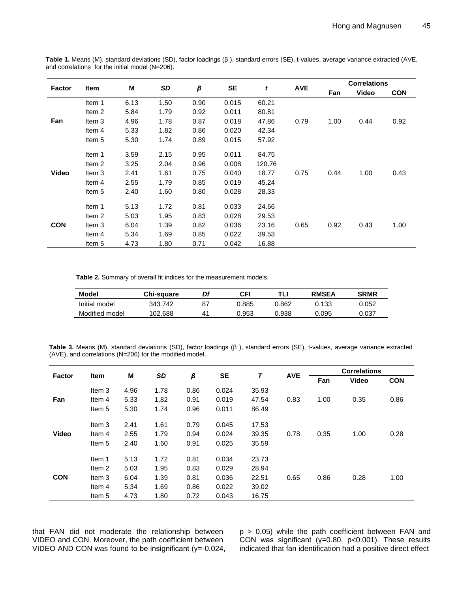| <b>Factor</b> | Item              | M    | SD   | β    | <b>SE</b> | t      | <b>AVE</b> | <b>Correlations</b> |       |            |
|---------------|-------------------|------|------|------|-----------|--------|------------|---------------------|-------|------------|
|               |                   |      |      |      |           |        |            | Fan                 | Video | <b>CON</b> |
| Fan           | Item 1            | 6.13 | 1.50 | 0.90 | 0.015     | 60.21  | 0.79       | 1.00                | 0.44  | 0.92       |
|               | Item <sub>2</sub> | 5.84 | 1.79 | 0.92 | 0.011     | 80.81  |            |                     |       |            |
|               | Item 3            | 4.96 | 1.78 | 0.87 | 0.018     | 47.86  |            |                     |       |            |
|               | Item 4            | 5.33 | 1.82 | 0.86 | 0.020     | 42.34  |            |                     |       |            |
|               | Item 5            | 5.30 | 1.74 | 0.89 | 0.015     | 57.92  |            |                     |       |            |
| <b>Video</b>  | Item 1            | 3.59 | 2.15 | 0.95 | 0.011     | 84.75  |            |                     |       |            |
|               | Item <sub>2</sub> | 3.25 | 2.04 | 0.96 | 0.008     | 120.76 |            |                     |       |            |
|               | Item 3            | 2.41 | 1.61 | 0.75 | 0.040     | 18.77  | 0.75       | 0.44                | 1.00  | 0.43       |
|               | Item 4            | 2.55 | 1.79 | 0.85 | 0.019     | 45.24  |            |                     |       |            |
|               | Item 5            | 2.40 | 1.60 | 0.80 | 0.028     | 28.33  |            |                     |       |            |
| <b>CON</b>    | Item 1            | 5.13 | 1.72 | 0.81 | 0.033     | 24.66  |            |                     |       |            |
|               | Item 2            | 5.03 | 1.95 | 0.83 | 0.028     | 29.53  |            |                     |       |            |
|               | Item 3            | 6.04 | 1.39 | 0.82 | 0.036     | 23.16  | 0.65       | 0.92                | 0.43  | 1.00       |
|               | Item 4            | 5.34 | 1.69 | 0.85 | 0.022     | 39.53  |            |                     |       |            |
|               | Item 5            | 4.73 | 1.80 | 0.71 | 0.042     | 16.88  |            |                     |       |            |

**Table 1.** Means (M), standard deviations (SD), factor loadings (β ), standard errors (SE), t-values, average variance extracted (AVE, and correlations for the initial model (N=206).

**Table 2.** Summary of overall fit indices for the measurement models.

| Model          | Chi-square | Df | CFI   |       | <b>RMSEA</b> | <b>SRMR</b> |
|----------------|------------|----|-------|-------|--------------|-------------|
| Initial model  | 343.742    | 87 | 0.885 | 0.862 | 0.133        | 0.052       |
| Modified model | 102.688    |    | 0.953 | 0.938 | 0.095        | 0.037       |

**Table 3.** Means (M), standard deviations (SD), factor loadings (β ), standard errors (SE), t-values, average variance extracted (AVE), and correlations (N=206) for the modified model.

| <b>Factor</b> | <b>Item</b>       | M    | SD   | $\pmb{\beta}$ | <b>SE</b> | Τ     | <b>AVE</b> | <b>Correlations</b> |              |            |
|---------------|-------------------|------|------|---------------|-----------|-------|------------|---------------------|--------------|------------|
|               |                   |      |      |               |           |       |            | Fan                 | <b>Video</b> | <b>CON</b> |
| Fan           | Item <sub>3</sub> | 4.96 | 1.78 | 0.86          | 0.024     | 35.93 | 0.83       | 1.00                | 0.35         | 0.86       |
|               | Item 4            | 5.33 | 1.82 | 0.91          | 0.019     | 47.54 |            |                     |              |            |
|               | Item 5            | 5.30 | 1.74 | 0.96          | 0.011     | 86.49 |            |                     |              |            |
| <b>Video</b>  | Item <sub>3</sub> | 2.41 | 1.61 | 0.79          | 0.045     | 17.53 | 0.78       | 0.35                | 1.00         | 0.28       |
|               | Item 4            | 2.55 | 1.79 | 0.94          | 0.024     | 39.35 |            |                     |              |            |
|               | Item 5            | 2.40 | 1.60 | 0.91          | 0.025     | 35.59 |            |                     |              |            |
| <b>CON</b>    | Item 1            | 5.13 | 1.72 | 0.81          | 0.034     | 23.73 | 0.65       | 0.86                | 0.28         | 1.00       |
|               | Item 2            | 5.03 | 1.95 | 0.83          | 0.029     | 28.94 |            |                     |              |            |
|               | Item 3            | 6.04 | 1.39 | 0.81          | 0.036     | 22.51 |            |                     |              |            |
|               | Item 4            | 5.34 | 1.69 | 0.86          | 0.022     | 39.02 |            |                     |              |            |
|               | Item 5            | 4.73 | 1.80 | 0.72          | 0.043     | 16.75 |            |                     |              |            |

that FAN did not moderate the relationship between VIDEO and CON. Moreover, the path coefficient between VIDEO AND CON was found to be insignificant (γ=-0.024,

 $p > 0.05$ ) while the path coefficient between FAN and CON was significant (γ=0.80, p<0.001). These results indicated that fan identification had a positive direct effect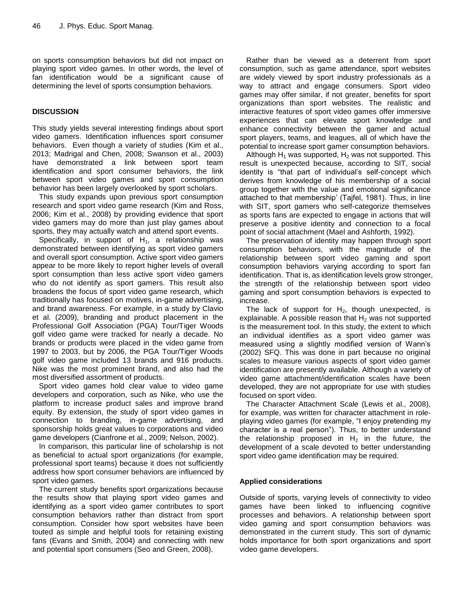on sports consumption behaviors but did not impact on playing sport video games. In other words, the level of fan identification would be a significant cause of determining the level of sports consumption behaviors.

# **DISCUSSION**

This study yields several interesting findings about sport video gamers. Identification influences sport consumer behaviors. Even though a variety of studies (Kim et al., 2013; Madrigal and Chen, 2008; Swanson et al., 2003) have demonstrated a link between sport team identification and sport consumer behaviors, the link between sport video games and sport consumption behavior has been largely overlooked by sport scholars.

This study expands upon previous sport consumption research and sport video game research (Kim and Ross, 2006; Kim et al., 2008) by providing evidence that sport video gamers may do more than just play games about sports, they may actually watch and attend sport events.

Specifically, in support of  $H_1$ , a relationship was demonstrated between identifying as sport video gamers and overall sport consumption. Active sport video gamers appear to be more likely to report higher levels of overall sport consumption than less active sport video gamers who do not identify as sport gamers. This result also broadens the focus of sport video game research, which traditionally has focused on motives, in-game advertising, and brand awareness. For example, in a study by Clavio et al. (2009), branding and product placement in the Professional Golf Association (PGA) Tour/Tiger Woods golf video game were tracked for nearly a decade. No brands or products were placed in the video game from 1997 to 2003, but by 2006, the PGA Tour/Tiger Woods golf video game included 13 brands and 916 products. Nike was the most prominent brand, and also had the most diversified assortment of products.

Sport video games hold clear value to video game developers and corporation, such as Nike, who use the platform to increase product sales and improve brand equity. By extension, the study of sport video games in connection to branding, in-game advertising, and sponsorship holds great values to corporations and video game developers (Cianfrone et al., 2009; Nelson, 2002).

In comparison, this particular line of scholarship is not as beneficial to actual sport organizations (for example, professional sport teams) because it does not sufficiently address how sport consumer behaviors are influenced by sport video games.

The current study benefits sport organizations because the results show that playing sport video games and identifying as a sport video gamer contributes to sport consumption behaviors rather than distract from sport consumption. Consider how sport websites have been touted as simple and helpful tools for retaining existing fans (Evans and Smith, 2004) and connecting with new and potential sport consumers (Seo and Green, 2008).

Rather than be viewed as a deterrent from sport consumption, such as game attendance, sport websites are widely viewed by sport industry professionals as a way to attract and engage consumers. Sport video games may offer similar, if not greater, benefits for sport organizations than sport websites. The realistic and interactive features of sport video games offer immersive experiences that can elevate sport knowledge and enhance connectivity between the gamer and actual sport players, teams, and leagues, all of which have the potential to increase sport gamer consumption behaviors.

Although  $H_1$  was supported,  $H_2$  was not supported. This result is unexpected because, according to SIT, social identity is "that part of individual's self-concept which derives from knowledge of his membership of a social group together with the value and emotional significance attached to that membership' (Tajfel, 1981). Thus, in line with SIT, sport gamers who self-categorize themselves as sports fans are expected to engage in actions that will preserve a positive identity and connection to a focal point of social attachment (Mael and Ashforth, 1992).

The preservation of identity may happen through sport consumption behaviors, with the magnitude of the relationship between sport video gaming and sport consumption behaviors varying according to sport fan identification. That is, as identification levels grow stronger, the strength of the relationship between sport video gaming and sport consumption behaviors is expected to increase.

The lack of support for  $H_2$ , though unexpected, is explainable. A possible reason that  $H_2$  was not supported is the measurement tool. In this study, the extent to which an individual identifies as a sport video gamer was measured using a slightly modified version of Wann's (2002) SFQ. This was done in part because no original scales to measure various aspects of sport video gamer identification are presently available. Although a variety of video game attachment/identification scales have been developed, they are not appropriate for use with studies focused on sport video.

The Character Attachment Scale (Lewis et al., 2008), for example, was written for character attachment in roleplaying video games (for example, "I enjoy pretending my character is a real person"). Thus, to better understand the relationship proposed in  $H_2$  in the future, the development of a scale devoted to better understanding sport video game identification may be required.

# **Applied considerations**

Outside of sports, varying levels of connectivity to video games have been linked to influencing cognitive processes and behaviors. A relationship between sport video gaming and sport consumption behaviors was demonstrated in the current study. This sort of dynamic holds importance for both sport organizations and sport video game developers.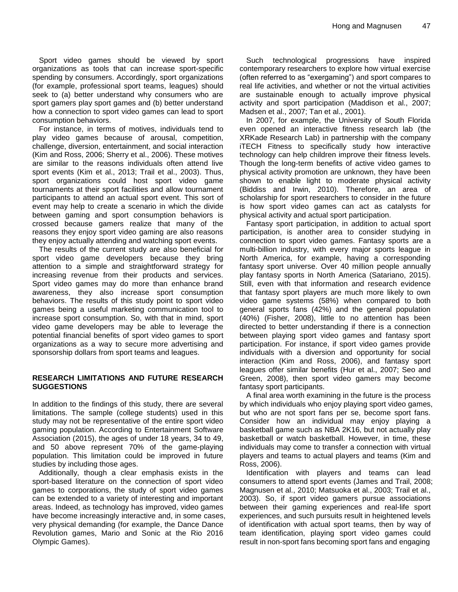Sport video games should be viewed by sport organizations as tools that can increase sport-specific spending by consumers. Accordingly, sport organizations (for example, professional sport teams, leagues) should seek to (a) better understand why consumers who are sport gamers play sport games and (b) better understand how a connection to sport video games can lead to sport consumption behaviors.

For instance, in terms of motives, individuals tend to play video games because of arousal, competition, challenge, diversion, entertainment, and social interaction (Kim and Ross, 2006; Sherry et al., 2006). These motives are similar to the reasons individuals often attend live sport events (Kim et al., 2013; Trail et al., 2003). Thus, sport organizations could host sport video game tournaments at their sport facilities and allow tournament participants to attend an actual sport event. This sort of event may help to create a scenario in which the divide between gaming and sport consumption behaviors is crossed because gamers realize that many of the reasons they enjoy sport video gaming are also reasons they enjoy actually attending and watching sport events.

The results of the current study are also beneficial for sport video game developers because they bring attention to a simple and straightforward strategy for increasing revenue from their products and services. Sport video games may do more than enhance brand awareness, they also increase sport consumption behaviors. The results of this study point to sport video games being a useful marketing communication tool to increase sport consumption. So, with that in mind, sport video game developers may be able to leverage the potential financial benefits of sport video games to sport organizations as a way to secure more advertising and sponsorship dollars from sport teams and leagues.

### **RESEARCH LIMITATIONS AND FUTURE RESEARCH SUGGESTIONS**

In addition to the findings of this study, there are several limitations. The sample (college students) used in this study may not be representative of the entire sport video gaming population. According to Entertainment Software Association (2015), the ages of under 18 years, 34 to 49, and 50 above represent 70% of the game-playing population. This limitation could be improved in future studies by including those ages.

Additionally, though a clear emphasis exists in the sport-based literature on the connection of sport video games to corporations, the study of sport video games can be extended to a variety of interesting and important areas. Indeed, as technology has improved, video games have become increasingly interactive and, in some cases, very physical demanding (for example, the Dance Dance Revolution games, Mario and Sonic at the Rio 2016 Olympic Games).

Such technological progressions have inspired contemporary researchers to explore how virtual exercise (often referred to as "exergaming") and sport compares to real life activities, and whether or not the virtual activities are sustainable enough to actually improve physical activity and sport participation (Maddison et al., 2007; Madsen et al., 2007; Tan et al., 2001).

In 2007, for example, the University of South Florida even opened an interactive fitness research lab (the XRKade Research Lab) in partnership with the company iTECH Fitness to specifically study how interactive technology can help children improve their fitness levels. Though the long-term benefits of active video games to physical activity promotion are unknown, they have been shown to enable light to moderate physical activity (Biddiss and Irwin, 2010). Therefore, an area of scholarship for sport researchers to consider in the future is how sport video games can act as catalysts for physical activity and actual sport participation.

Fantasy sport participation, in addition to actual sport participation, is another area to consider studying in connection to sport video games. Fantasy sports are a multi-billion industry, with every major sports league in North America, for example, having a corresponding fantasy sport universe. Over 40 million people annually play fantasy sports in North America (Satariano, 2015). Still, even with that information and research evidence that fantasy sport players are much more likely to own video game systems (58%) when compared to both general sports fans (42%) and the general population (40%) (Fisher, 2008), little to no attention has been directed to better understanding if there is a connection between playing sport video games and fantasy sport participation. For instance, if sport video games provide individuals with a diversion and opportunity for social interaction (Kim and Ross, 2006), and fantasy sport leagues offer similar benefits (Hur et al., 2007; Seo and Green, 2008), then sport video gamers may become fantasy sport participants.

A final area worth examining in the future is the process by which individuals who enjoy playing sport video games, but who are not sport fans per se, become sport fans. Consider how an individual may enjoy playing a basketball game such as NBA 2K16, but not actually play basketball or watch basketball. However, in time, these individuals may come to transfer a connection with virtual players and teams to actual players and teams (Kim and Ross, 2006).

Identification with players and teams can lead consumers to attend sport events (James and Trail, 2008; Magnusen et al., 2010; Matsuoka et al., 2003; Trail et al., 2003). So, if sport video gamers pursue associations between their gaming experiences and real-life sport experiences, and such pursuits result in heightened levels of identification with actual sport teams, then by way of team identification, playing sport video games could result in non-sport fans becoming sport fans and engaging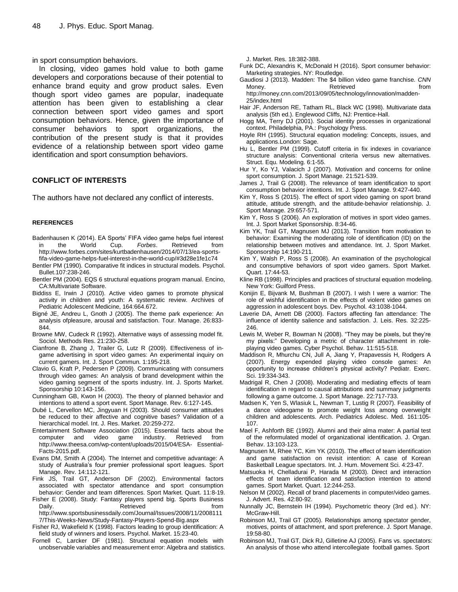in sport consumption behaviors.

In closing, video games hold value to both game developers and corporations because of their potential to enhance brand equity and grow product sales. Even though sport video games are popular, inadequate attention has been given to establishing a clear connection between sport video games and sport consumption behaviors. Hence, given the importance of consumer behaviors to sport organizations, the contribution of the present study is that it provides evidence of a relationship between sport video game identification and sport consumption behaviors.

### **CONFLICT OF INTERESTS**

The authors have not declared any conflict of interests.

#### **REFERENCES**

- Badenhausen K (2014). EA Sports' FIFA video game helps fuel interest in the World Cup. *Forbes*. Retrieved from http://www.forbes.com/sites/kurtbadenhausen/2014/07/13/ea-sportsfifa-video-game-helps-fuel-interest-in-the-world-cup/#3d28e1fe1c74
- Bentler PM (1990). Comparative fit indices in structural models. Psychol. Bullet.107:238-246.
- Bentler PM (2004). EQS 6 structural equations program manual. Encino, CA:Multivariate Software.
- Biddiss E, Irwin J (2010). Active video games to promote physical activity in children and youth: A systematic review. Archives of Pediatric Adolescent Medicine, 164:664.672.
- Bigné JE, Andreu L, Gnoth J (2005). The theme park experience: An analysis ofpleasure, arousal and satisfaction. Tour. Manage. 26:833- 844.
- Browne MW, Cudeck R (1992). Alternative ways of assessing model fit. Sociol. Methods Res. 21:230-258.
- Cianfrone B, Zhang J, Trailer G, Lutz R (2009). Effectiveness of ingame advertising in sport video games: An experimental inquiry on current gamers. Int. J. Sport Commun. 1:195-218.
- Clavio G, Kraft P, Pedersen P (2009). Communicating with consumers through video games: An analysis of brand development within the video gaming segment of the sports industry. Int. J. Sports Market. Sponsorship 10:143-156.
- Cunningham GB, Kwon H (2003). The theory of planned behavior and intentions to attend a sport event. Sport Manage. Rev. 6:127-145.
- Dubé L, Cervellon MC, Jingyuan H (2003). Should consumer attitudes be reduced to their affective and cognitive bases? Validation of a hierarchical model. Int. J. Res. Market. 20:259-272.
- Entertainment Software Association (2015). Essential facts about the computer and video game industry. Retrieved from http://www.theesa.com/wp-content/uploads/2015/04/ESA- Essential-Facts-2015.pdf.
- Evans DM, Smith A (2004). The Internet and competitive advantage: A study of Australia's four premier professional sport leagues. Sport Manage. Rev. 14:112-121.
- Fink JS, Trail GT, Anderson DF (2002). Environmental factors associated with spectator attendance and sport consumption behavior: Gender and team differences. Sport Market. Quart. 11:8-19.
- Fisher E (2008). Study: Fantasy players spend big. Sports Business Daily. **Retrieved Constanting Constanting Constanting Constanting Constanting Constanting Constanting Constanting Constanting Constanting Constanting Constanting Constanting Constanting Constanting Constanting Constantin** http://www.sportsbusinessdaily.com/Journal/Issues/2008/11/2008111 7/This-Weeks-News/Study-Fantasy-Players-Spend-Big.aspx
- Fisher RJ, Wakefield K (1998). Factors leading to group identification: A field study of winners and losers. Psychol. Market. 15:23-40.
- Fornell C, Larcker DF (1981). Structural equation models with unobservable variables and measurement error: Algebra and statistics.

J. Market. Res. 18:382-388.

- Funk DC, Alexandris K, McDonald H (2016). Sport consumer behavior: Marketing strategies. NY: Routledge.
- Gaudiosi J (2013). Madden: The \$4 billion video game franchise. *CNN*  Retrieved from http://money.cnn.com/2013/09/05/technology/innovation/madden-
	- 25/index.html
- Hair JF, Anderson RE, Tatham RL, Black WC (1998). Multivariate data analysis (5th ed.). Englewood Cliffs, NJ: Prentice-Hall.
- [Hogg](https://www.google.co.kr/search?tbo=p&tbm=bks&q=inauthor:%22Michael+A.+Hogg%22&source=gbs_metadata_r&cad=7) MA, [Terry](https://www.google.co.kr/search?tbo=p&tbm=bks&q=inauthor:%22Deborah+J.+Terry%22&source=gbs_metadata_r&cad=7) DJ (2001). Social identity processes in organizational context. Philadelphia, PA.: Psychology Press.
- Hoyle RH (1995). Structural equation modeling: Concepts, issues, and applications.London: Sage.
- Hu L, Bentler PM (1999). Cutoff criteria in fix indexes in covariance structure analysis: Conventional criteria versus new alternatives. Struct. Equ. Modeling. 6:1-55.
- Hur Y, Ko YJ, Valacich J (2007). Motivation and concerns for online sport consumption. J. Sport Manage. 21:521-539.
- James J, Trail G (2008). The relevance of team identification to sport consumption behavior intentions. Int. J. Sport Manage. 9:427-440.
- Kim Y, Ross S (2015). The effect of sport video gaming on sport brand attitude, attitude strength, and the attitude-behavior relationship. J. Sport Manage. 29:657-571.
- Kim Y, Ross S (2006). An exploration of motives in sport video games. Int. J. Sport Market Sponsorship. 8:34-46.
- Kim YK, Trail GT, Magnusen MJ (2013). Transition from motivation to behavior: Examining the moderating role of identification (ID) on the relationship between motives and attendance. Int. J. Sport Market. Sponsorship 14:190-211.
- Kim Y, Walsh P, Ross S (2008). An examination of the psychological and consumptive behaviors of sport video gamers. Sport Market. Quart. 17:44-53.
- Kline RB (1998). Principles and practices of structural equation modeling. New York: Guilford Press.
- Konijin E, Bijvank M, Bushman B (2007). I wish I were a warrior: The role of wishful identification in the effects of violent video games on aggression in adolescent boys. Dev. Psychol. 43:1038-1044.
- Laverie DA, Arnett DB (2000). Factors affecting fan attendance: The influence of identity salience and satisfaction. J. Leis. Res. 32:225- 246.
- Lewis M, Weber R, Bowman N (2008). "They may be pixels, but they're my pixels:" Developing a metric of character attachment in roleplaying video games. Cyber Psychol. Behav. 11:515-518.
- Maddison R, Mhurchu CN, Jull A, Jiang Y, Prapavessis H, Rodgers A (2007). Energy expended playing video console games: An opportunity to increase children's physical activity? Pediatr. Exerc. Sci. 19:334-343.
- Madrigal R, Chen J (2008). Moderating and mediating effects of team identification in regard to causal attributions and summary judgments following a game outcome. J. Sport Manage. 22:717-733.
- Madsen K, Yen S, Wlasiuk L, Newman T, Lustig R (2007). Feasibility of a dance videogame to promote weight loss among overweight children and adolescents. Arch. Pediatrics Adolesc. Med. 161:105- 107.
- Mael F, Ashforth BE (1992). Alumni and their alma mater: A partial test of the reformulated model of organizational identification. J. Organ. Behav. 13:103-123.
- Magnusen M, Rhee YC, Kim YK (2010). The effect of team identification and game satisfaction on revisit intention: A case of Korean Basketball League spectators. Int. J. Hum. Movement Sci. 4:23-47.
- Matsuoka H, Chelladurai P, Harada M (2003). Direct and interaction effects of team identification and satisfaction intention to attend games. Sport Market. Quart. 12:244-253.
- Nelson M (2002). Recall of brand placements in computer/video games. J. Advert. Res. 42:80-92.
- Nunnally JC, Bernstein IH (1994). Psychometric theory (3rd ed.). NY: McGraw-Hill.
- Robinson MJ, Trail GT (2005). Relationships among spectator gender, motives, points of attachment, and sport preference. J. Sport Manage. 19:58-80.
- Robinson MJ, Trail GT, Dick RJ, Gilletine AJ (2005). Fans vs. spectators: An analysis of those who attend intercollegiate football games. Sport